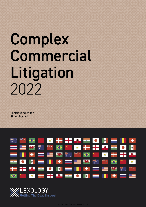# Complex Commercial Litigation 2022

Contributing editor Simon Bushell



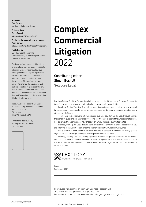#### Publisher

Tom Barnes tom.barnes@lbresearch.com

**Subscriptions** Claire Bagnall claire.bagnall@lbresearch.com

#### Senior business development manager Adam Sargent

adam.sargent@gettingthedealthrough.com

#### Published by

Law Business Research Ltd Meridian House, 34-35 Farringdon Street London, EC4A 4HL, UK

The information provided in this publication is general and may not apply in a specific situation. Legal advice should always be sought before taking any legal action based on the information provided. This information is not intended to create, nor does receipt of it constitute, a lawyer– client relationship. The publishers and authors accept no responsibility for any acts or omissions contained herein. The information provided was verified between July and September 2021. Be advised that this is a developing area.

© Law Business Research Ltd 2021 No photocopying without a CLA licence. First published 2017 Fifth edition ISBN 978-1-83862-637-2

Printed and distributed by Encompass Print Solutions Tel: 0844 2480 112



## **Complex Commercial Litigation** 2022

Contributing editor Simon Bushell Seladore Legal

Lexology Getting The Deal Through is delighted to publish the fifth edition of *Complex Commercial Litigation*, which is available in print and online at www.lexology.com/gtdt.

Lexology Getting The Deal Through provides international expert analysis in key areas of law, practice and regulation for corporate counsel, cross-border legal practitioners, and company directors and officers.

Throughout this edition, and following the unique Lexology Getting The Deal Through format, the same key questions are answered by leading practitioners in each of the jurisdictions featured. Our coverage this year includes new chapters on Brazil, India and the United States.

Lexology Getting The Deal Through titles are published annually in print. Please ensure you are referring to the latest edition or to the online version at www.lexology.com/gtdt.

Every effort has been made to cover all matters of concern to readers. However, specific legal advice should always be sought from experienced local advisers.

Lexology Getting The Deal Through gratefully acknowledges the efforts of all the contributors to this volume, who were chosen for their recognised expertise. We also extend special thanks to the contributing editor, Simon Bushell of Seladore Legal, for his continued assistance with this volume.



London September 2021

Reproduced with permission from Law Business Research Ltd This article was first published in September 2021 For further information please contact editorial@gettingthedealthrough.com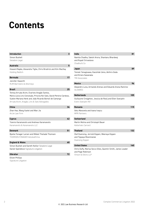### **Contents**

| <b>Introduction</b><br>3                                                                                                                                                                                                        |
|---------------------------------------------------------------------------------------------------------------------------------------------------------------------------------------------------------------------------------|
| Simon Bushell                                                                                                                                                                                                                   |
| Seladore Legal                                                                                                                                                                                                                  |
| <b>Australia</b><br>5                                                                                                                                                                                                           |
| Howard Rapke, Alexandra Tighe, Chris Brodrick and Kim MacKay<br>Holding Redlich                                                                                                                                                 |
| <b>Bermuda</b><br>17                                                                                                                                                                                                            |
| Jennifer Haworth<br><b>MJM Barristers &amp; Attorneys</b>                                                                                                                                                                       |
| 25<br><b>Brazil</b>                                                                                                                                                                                                             |
| Teresa Arruda Alvim, Evaristo Aragão Santos,<br>Maria Lúcia Lins Conceição, Priscila Kei Sato, David Pereira Cardoso,<br>Suelen Mariana Henk and João Ricardo Bortoli de Camargo<br>Arruda Alvim, Aragão, Lins & Sato Advogados |
| <b>China</b><br>34                                                                                                                                                                                                              |
| Zhan Hao, Wang Xuelei and Wan Jia<br>AnJie Law Firm                                                                                                                                                                             |
| 42<br>Cyprus                                                                                                                                                                                                                    |
| <b>Yiannis Karamanolis and Andreas Karamanolis</b><br>Karamanolis & Karamanolis LLC                                                                                                                                             |
| <b>Denmark</b><br>51                                                                                                                                                                                                            |
| Bjarke Fonager Larsen and Mikkel Theilade Thomsen<br>THOMSEN-FONAGER Advokatfirma                                                                                                                                               |
| 60<br><b>England &amp; Wales</b>                                                                                                                                                                                                |
| Simon Bushell and Gareth Keillor Seladore Legal                                                                                                                                                                                 |
| Daniel Spendlove Signature Litigation                                                                                                                                                                                           |
| Gibraltar<br>72                                                                                                                                                                                                                 |
| <b>Elliott Phillips</b>                                                                                                                                                                                                         |

Signature Litigation

| India                                                                                                    | 81  |
|----------------------------------------------------------------------------------------------------------|-----|
| Namita Chadha, Sakshi Arora, Shantanu Bhardwaj<br>and Rupali Srivastava<br>Chadha & Co                   |     |
| Japan                                                                                                    | 89  |
| Tomoki Yanagisawa, Kazuhide Ueno, Akihiro Goda<br>and Kirara Sawanaka<br><b>TMI Associates</b>           |     |
| <b>Mexico</b>                                                                                            | 96  |
| Alejandro Luna, Armando Arenas and Eduardo Arana Ramirez<br><b>OLIVARES</b>                              |     |
| <b>Netherlands</b>                                                                                       | 105 |
| Guillaume Creijghton, Jessica de Rooij and Ellen Soerjatin<br>Evers Soerjatin NV                         |     |
| Romania                                                                                                  | 115 |
| Gelu Maravela and Ioana Ivascu<br><b>MPR Partners</b>                                                    |     |
| <b>Switzerland</b>                                                                                       | 123 |
| Martin Molina and Christoph Bauer<br>Kellerhals Carrard                                                  |     |
| <b>Thailand</b>                                                                                          | 132 |
| Olaf Duensing, Jerrold Kippen, Weeraya Kippen<br>and Tippaya Moonmanee<br>Duensing Kippen                |     |
| <b>United States</b>                                                                                     | 140 |
| Chris Duffy, Marisa Secco Giles, Quentin Smith, James Leader<br>and Page Robinson<br>Vinson & Elkins LLP |     |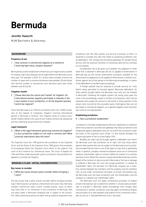### **Bermuda**

#### Jennifer Haworth

MJM Barristers & Attorneys

#### **BACKGROUND**

#### **Frequency of use**

1 | How common is commercial litigation as a method of resolving high-value, complex disputes?

Bermuda has a well-established commercial court regime and a number of complex, high-value disputes are brought before the Bermuda courts each year. For example, in 2019, 511 actions were initiated, of which the number of cases with a commercial element was between 30 and 40 per cent and the number of commercial court decisions each year varies between and 20 and 30.

#### **Litigation market**

2 | Please describe the culture and 'market' for litigation. Do international parties regularly participate in disputes in the court system in your jurisdiction, or do the disputes typically tend to be regional?

Given that Bermuda is an offshore jurisdiction with over 18,000 companies on the register of companies, litigation involving international parties in Bermuda is common. This litigation tends to involve crossborder related matters, the value of such matters tends to be substantial and the underlying issues tend to be complex.

#### **Legal framework**

3 What is the legal framework governing commercial litigation? Is your jurisdiction subject to civil code or common law? What practical implications does this have?

The Supreme Court Act 1905 governs the jurisdiction of the Supreme Court, and the Rules of the Supreme Court 1985 govern the procedure of proceedings before the Supreme Court, which is the superior trial court of first instance for commercial cases. The Court of Appeal Act 1964 and Rules made thereunder govern jurisdiction and procedure for appeals in commercial litigation.

#### **BRINGING A CLAIM - INITIAL CONSIDERATIONS**

#### **Key issues to consider**

4 What key issues should a party consider before bringing a claim?

The key issues that a party should consider before bringing proceedings in Bermuda are: jurisdiction, enforcement and costs risks. Normally complex commercial cases involve multiple parties, many of whom may have little or no connection to the jurisdiction of Bermuda, with one party (often a Bermuda company) that is subject to the jurisdiction. Often preliminary points are taken with procedural arguments over

jurisdiction over the other parties, and service of process, so that it is essential to consider any risks that relate to sustaining jurisdiction over all defendants. This includes the procedural gateways for extraterritorial service, and the practical mechanics of achieving valid service overseas on such parties.

Consideration has to be given as to whether the judgment or other relief that is obtained in Bermuda will be (1) capable of enforcement in Bermuda (eg, by the normal enforcement processes available for the enforcement of judgments) or (2) capable of enforcement in another jurisdiction against any of the parties to the Bermuda proceedings, or assets of the defendants to the Bermuda proceedings.

A foreign plaintiff may be required to provide security for costs before being permitted to proceed against Bermuda defendants (or other parties brought before the Bermuda court who are not resident in Bermuda). Following the English system, the losing party pays the costs of the proceedings, except in limited circumstances, which will be assessed, and usually will amount to two-thirds to three-quarters of the actual costs incurred by the successful party. Contingency fees are not permitted in commercial litigation, so in general litigants must fund their own costs on an ongoing basis.

#### **Establishing jurisdiction**

#### 5 | How is jurisdiction established?

Jurisdiction is normally established by domicile, registration or presence within the jurisdiction, but there are gateways that allow jurisdiction to be established against defendants who are not within the jurisdiction under the Rules of the Supreme Court (Order 11) that follows (broadly) the English equivalent of Part 6 of the English CPR.

Broadly, any claim can be brought against a defendant over whom the Bermuda court has jurisdiction as of right, and may bring claims against other parties who are not subject to the Bermuda court's jurisdiction provided that the claim is one of the types of claim that is specifically listed. In general, complex commercial disputes arise out of contractual relations, shareholder rights or tortious liability for breach of a common law duty of care. Where the contract is governed by Bermuda law, and the breach of the contract or duty occurred in Bermuda or the loss or damage is suffered in Bermuda, the court will accept jurisdiction. In relation to shareholder rights, the bye-laws of a Bermuda company are a statutory contract between the members and the company and the members inter se and under conventional principles of private international law, the Bermuda court will have jurisdiction over the shareholders and the company in a dispute over shareholder rights.

The Bermuda court will apply conventional principles of English private international law to determine whether it should allow proceedings to proceed in Bermuda where proceedings have already been commenced in another jurisdiction, and may apply conventional English law principles of lis alibi pendens and English forum conveniens principles as set out in *Spiliada Maritime Corp v Cansulex*.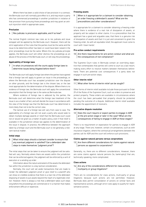Where there has been a valid choice of law provision in a contract, the Bermuda court will normally give effect to it, and may enjoin a party who has commenced proceedings in another jurisdiction in violation of that provision from pursuing those proceedings and may grant an antisuit injunction relief in appropriate cases.

#### **Preclusion**

#### $6$  Res judicata: is preclusion applicable, and if so how?

The normal English common law rules as to res judicata and issue estoppel will be applied by the Bermuda court. However, there will be strict application of the rules that the parties must be the same and the issue to be determine either has been or could have been raised in the prior proceedings must be the same. Where this res judicata principle applies, the Bermuda court will either dismiss the proceedings as an abuse of the process of the Bermuda court, or will stay the proceedings.

#### **Applicability of foreign laws**

7 | In what circumstances will the courts apply foreign laws to determine issues being litigated before them?

The Bermuda court will apply foreign law where the parties have agreed that a foreign law will apply to govern an issue in the proceedings, or where the Bermuda court has accepted jurisdiction over the dispute on other grounds, and the foreign law is the chosen law, or the law most appropriate for the determination of the dispute. Where there is no evidence of foreign law, the Bermuda court will apply the conventional assumption that the foreign law is the same as Bermuda law.

Where evidence of foreign law is adduced by the parties, the Bermuda court will determine what the foreign law treatment of the issue is as a matter of fact, and will decide the issue in accordance with the view of the foreign law that the Bermuda court has determined is more likely than not to be the correct view.

The tactical use of a foreign law will vary from case to case. The applicability of a foreign law will not avail a party who would seek to obtain multiple damage awards or relief that the Bermuda court could not or would not grant as a matter of public policy, even if that relief is available in the jurisdiction whose law applies to the determination of the issue in dispute. In practice, the difference between the approach taken by a foreign court and the Bermuda court is not generally a relevant tactical matter.

#### **Initial steps**

#### 8 What initial steps should a claimant consider to ensure that any eventual judgment is satisfied? Can a defendant take steps to make themselves 'judgment proof'?

The initial steps that can be taken to ensure the judgment will be satisfied will vary. Normally where there are assets within the jurisdiction that can be enforced against, the judgment will be enforced by a writ of execution or a winding up order.

Information about the nature and extent of the assets the defendant has within the jurisdiction is a key tactical consideration.

Normally, the court will set aside transactions that are made to render the defendant judgment proof or give relief to a plaintiff who can show on credible evidence that there is a real risk of the defendant disposing of assets to put assets beyond the reach of a legitimate creditor. However, there is always a risk that a defendant takes such steps long before the proceedings are commenced or in a manner that makes enforcement difficult or expensive.

#### **Freezing assets**

9 When is it appropriate for a claimant to consider obtaining an order freezing a defendant's assets? What are the preconditions and other considerations?

It is appropriate for a claimant to consider obtaining a freezing order where there is evidence of a real risk of dissipation of assets, or property will be subject to other claims. It is a precondition that the applicant has a good and arguable case, that there is a genuine risk of dissipation of assets and that it is just and convenient to grant the freezing order. As with all equitable relief, the applicant must come to court with 'clean hands'.

#### **Pre-action conduct requirements**

 $10$  Are there requirements for pre-action conduct and what are the consequences of non-compliance?

The Supreme Court rules in Bermuda contain an overriding objective that contemplates that parties will come to court as a last resort, making every effort to resolve matters between themselves beforehand. There are potential cost consequences if a party does not engage in such pre-action steps.

#### **Other interim relief**

#### 11 What other forms of interim relief can be sought?

Other forms of interim relief available include those pursuant to Order 29 of the Rules of the Supreme Court, such as orders to preserve and protect property. These orders are available in circumstances where the court has been persuaded that property should be protected pending the outcome of a dispute. Additional interim relief available includes the appointment of receivers.

#### **Alternative dispute resolution**

12 Does the court require or expect parties to engage in ADR at the pre-action stage or later in the case? What are the consequences of failing to engage in ADR at these stages?

There is no requirement or expectation for parties to engage in ADR at any stage. There are, however, certain circumstances, such as with insurance litigation, where the contractual arrangements between the parties call for ADR and the court will enforce such provisions.

#### **Claims against natural persons versus corporations**

13  $\vert$  Are there different considerations for claims against natural persons as opposed to corporations?

Generally, no, there are no different considerations. However, there are some claims against natural persons (ie, bankruptcy) that are, technically speaking, more complicated.

#### **Class actions**

 $14$  Are any of the considerations different for class actions, multiparty or group litigations?

There are no considerations for class actions, multi-party or group litigations because such actions are not permitted. However, Bermuda does permit consolidation of actions on similar facts and representative actions, although strict rules apply to qualify for representative actions.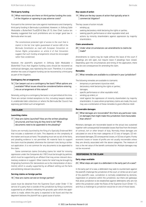#### **Third-party funding**

#### 15 What restrictions are there on third parties funding the costs of the litigation or agreeing to pay adverse costs?

Pursuant to the common law rules against maintenance and champerty, third party funding in Bermuda is prohibited. However, in *Stiftung Salle Modulable v Butterfield Trust*[2014] Bda LR 13, then Chief Justice Ian Kawaley suggested that such prohibitions are no longer good law in Bermuda when he said:

*The constitutional protected right of access to the court that is implicit in the fair trial rights guaranteed of section 6(8) of the Bermuda Constitution as read with European Convention on Human Rights jurisprudence on article 6 of that Convention suggest that such funding arrangements should be encouraged rather than condemned.*

However, the plaintiff's argument in *Stiftung Salle Modulable v Butterfield Trust*, that litigation funding costs should be recovered as contractual damages, was rejected by the court. Therefore, it is unclear whether the costs of litigation funding can be recovered by a third party as part of the litigation.

#### **Contingency fee arrangements**

 $16$  Can lawyers act on a contingency fee basis? What options are available? What issues should be considered before entering into an arrangement of this nature?

Generally, acting on a contingency fee basis is not permitted at this time. There are certain limited exceptions to this, including lawyers dealing in undefended debt collections or where the Bermuda Bar Council has expressly permitted such arrangement.

#### **THE CLAIM**

#### **Launching claims**

17 How are claims launched? How are the written pleadings structured, and how long do they tend to be? What documents need to be appended to the pleading?

Claims are normally launched by the filing of a Specially Endorsed Writ that includes a statement of claim. This depends on the complexity of the matter and issues at hand. The pleading must set out all of the facts, and pleading evidence is not permitted. All material facts to support the claim must be pleaded, otherwise the claimant risks facing a strikeout application. It is not common for any documents to be appended to the claim.

Some commercial claims (including claims for relief for minority oppression under the Companies Act 1981) must be brought by petition, which must be supported by an affidavit that may annex relevant documentary evidence in support. Other claims for relief may be brought by Originating Summons (for declarations as to the interpretation of documents), which is usually supported by an affidavit setting out the facts and exhibiting relevant documents.

#### **Serving claims on foreign parties**

#### 18 | How are claims served on foreign parties?

Leave must be obtained from the Supreme Court under Order 11 for service of a party that is outside of the jurisdiction by filing a summons supported by an affidavit indicating the grounds upon which the application is made, where the party is expected to be found and that the deponent believes the plaintiff has a good cause of action.

19 What are the key causes of action that typically arise in commercial litigation?

The key causes of action include:

- winding up;
- seeking declaratory relief declaring the rights or parties;
- seeking specific performance or other equitable relief; and
- actions by minority shareholders against oppression by majority shareholders.

#### **Claim amendments**

#### 20 Under what circumstances can amendments to claims be made?

Amendments to claims may be made without the leave of the court if pleadings are still open, but require leave if pleadings have closed. Depending upon the circumstances and timing of the application, there may be cost consequences for amending the claim.

#### **Remedies**

#### 21 What remedies are available to a claimant in your jurisdiction?

The following remedies are available to claimants:

- temporary or permanent injunctive relief;
- declaratory relief declaring the rights or parties;
- damages;
- specific performance or other equitable relief;
- winding up orders; or
- relief against the oppression of minority shareholders by majority shareholders. In cases where proprietary claims are made, the court may use a combination of these remedies to grant effective relief.

#### **Recoverable damages**

22 What damages are recoverable? Are there any particular rules on damages that might make this jurisdiction more favourable than others?

Monetary damages are recoverable based on the actual loss sustained together with consequential foreseeable losses that flow from the breach of contract, tort or other breach of duty. Normally these damages are calculated on one of the main categories of (1) loss of bargain, (2) reliance-based damages, (3) consequential losses, or (4) loss of gains. Purely economic losses or losses of profits are not usually recoverable unless they are directly associated with the above categories. The measure of loss is the net value of the benefit contracted for. Multiple damages may not be recovered.

#### **RESPONDING TO THE CLAIM**

#### **Early steps available**

#### 23 What steps are open to a defendant in the early part of a case?

In the early part of a case, a defendant may seek to counterclaim against the plaintiff, challenge the jurisdiction of the court, or strike out all or part of the plaintiff's case. Jurisdiction is normally established by domicile, registration or presence within the jurisdiction, but there are gateways that allow jurisdiction to be established against defendants who are not within the jurisdiction under the Rules of the Supreme Court (Order 11), and thus a challenge to jurisdiction would be on one of those bases.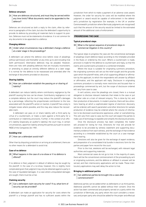#### **Defence structure**

24 | How are defences structured, and must they be served within any time limits? What documents need to be appended to the defence?

Defences are structured as both a reply to the claim, often by reference to paragraphs of the claim, but also the defendant's opportunity to provide its defence by providing all materials facts to support its position. Defences must not be statements of evidence. It is not common for any documents to be appended to a defence.

#### **Changing defence**

#### 25 Under what circumstances may a defendant change a defence at a later stage in the proceedings?

A defendant can amend the defence once before close of pleadings without permission and thereafter at any time up to and including trial (with permission). Alternative defences may be pleaded. However, there are risks with pleading defences that are mutually inconsistent, or amending to plead an entirely different defence at a later stage. It is normal for the defence to be reassessed and amended after the exchange of documents provided on discovery.

#### **Sharing liability**

#### 26 How can a defendant establish the passing on or sharing of liability?

A defendant can reduce liability where contributory negligence by the plaintiff causing the loss can be shown. Contributory negligence is not a complete defence, but the court may reduce the plaintiff's damages by a percentage, reflecting the proportionate contribution to the loss associated with the plaintiff's action or inaction. A plaintiff has a duty to mitigate losses where possible, and this may also reduce the recoverable claim.

A defendant can pass on or share liability with a third party by virtue of a counterclaim, or make a claim against a third party for a contribution or indemnity provisions. Further, in the context of an officer's liability (especially an auditor's liability), the court may, in certain circumstances, apportion liability among the parties pursuant to section 98(B) of the Companies Act 1981.

#### **Avoiding trial**

#### 27 How can a defendant avoid trial?

Other than by disputing jurisdiction or arriving at a settlement, there are no other means for a defendant to avoid trial.

#### **Case of no defence**

#### 28 What happens in the case of a no-show or if no defence is offered?

If no defence is filed, judgment in default of defence may be sought by the plaintiff. In the case of a no-show, however, this is slightly more complicated given that judgment may only be obtained against a party in the case of liquidated damages. In a case where unliquidated damages are sought, there must be a trial.

#### **Claiming security**

 $29$  Can a defendant claim security for costs? If so, what form of security can be provided?

A defendant can make an application for security for costs where the plaintiff is a foreign plaintiff and has no sufficient assets within the jurisdiction from which to make a payment of an adverse costs award. However, the order for security for costs will be modified where the judgment or award would be capable of enforcement in the defendant's jurisdiction by registration (for example, in the UK or another Commonwealth jurisdiction where Bermuda judgments are recognised) such that the amount of the security would be limited to the estimated amount of the additional costs of enforcement.

#### **PROGRESSING THE CASE**

#### **Typical procedural steps**

#### 30 What is the typical sequence of procedural steps in commercial litigation in this country?

The typical steps to progress the case are the conventional exchanges of pleadings (claim-defence-reply) according to the timetable provided in the Rules or ordered by the court. Where a counterclaim is made, provision is made for the defence to counterclaim and reply, so that the claims and counterclaims proceed on a combined timetable.

Where the issue is suitable for originating summons procedure, the originating summons will set out the relief sought and the grounds upon which the plaintiff relies, with a full supporting affidavit or affirmation by the applicant, to which the respondents will answer by affidavit or affirmation, and the applicant will reply. Disclosure in originating summons procedure is normally more restrictive and focused than in proceedings commenced by writ, but the scope of disclosure ordered will vary from case to case.

In writ actions, once the pleadings are closed, there is a mutual obligation to disclose relevant materials that relate to the case or put the other side on a train of relevant enquiry. This is done by list, and then production of documents. In modern practice, there will be a directions hearing at which a sophisticated regime of electronic discovery will be ordered, with search parameters and other directions for sample production of evidence may be ordered where the volume of information to be disclosed could become oppressive, unfair or overwhelming. This will vary from case to case, but the court will expect the parties to make use of technology to expedite and simplify the disclosure process.

Once the disclosure process has been completed, the matter will proceed for listing for trial. Directions for trial will provide for evidence to be provided by witness statement and supporting documentary evidence from each witness, and the exchange of that evidence according to a timetable established by the court at a case management hearing.

Directions will also be given for the exchange of expert evidence, and preparation of a consolidated trial bundle in electronic form for the parties and paper form record for the court.

Prior to the trial, skeletons will be exchanged, with relevant legal authorities and supporting materials.

Most commercial cases do not go to trial. In the majority of cases, there will be the conventional commencement of the proceeding by writ or originating summons, and the defence or affidavit in answer will be served, and then interlocutory applications will be made. These interlocutory applications may well delay the action to trial.

#### **Bringing in additional parties**

#### 31 Can additional parties be brought into a case after commencement?

Additional parties can be added either as defendants or as third parties. Additional plaintiffs cannot be added without their consent. Once the action has been commenced and properly served on a party within the jurisdiction of Bermuda, any party whom the court considers a necessary and proper party who should be added for the proper and effectual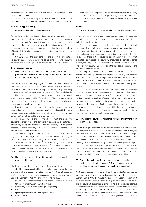Third parties are normally added where the liability sought to be determined is for indemnity or contribution to the defendant's liability.

#### **Consolidating proceedings**

#### $32$  Can proceedings be consolidated or split?

Proceedings can be consolidated where the court considers that it is in the interests of justice to try cases that involve issues arising out of the same or related facts, and between parties or related parties who may not be the same but where the underlying issues are sufficiently closely connected as to make it convenient and in the interests of the efficient administration of justice to consolidate the cases and try them at the same time.

Similarly, where the court considers that it is in the interests of justice for cases between parties to be split into separate trials, the court has power to do so; however, this is a power that is seldom used.

#### **Court decision making**

#### 33 How does a court decide if the claims or allegations are proven? What are the elements required to find in favour, and what is the burden of proof?

The Bermuda court will apply English common law rules of evidence. Generally, the court will only admit direct evidence that is relevant to determining the issues in dispute. Exceptions to the hearsay rules apply to documentary evidence and evidence in electronic form is admissible.

Normally, primary evidence is given by witness statements, which stand as the evidence in chief of the witness. Witness statements are exchanged in advance of trial, and the witnesses are made available for cross-examination at the hearing.

Expert evidence as to matters of foreign law (or other topics of technical or special expertise, such as valuation) is admissible by way of opinion evidence, provided it complies with the normal procedural rules governing the method and form of expert evidence.

The general rule is that he who alleges must prove, and the standard of proof in civil and commercial cases is on the balance of probability, taking into account all relevant matters, and the judge's assessment of the credibility of the witnesses, tested against the background facts and documentary evidence.

The elements required to be proved may vary, depending on the key issues to be decided, but the issues usually revolve around (1) the breach of a contractual term or duty; (2) the breach of a duty owed in tort, or breach of a statutory duty; (3) the corporate rights and duties of companies, shareholders and directors; and (4) the establishment and quantification of loss that flow directly from the breach alleged, or that were in the reasonable contemplation of the parties.

#### 34 | How does a court decide what judgments, remedies and orders it will issue?

The Supreme Court has a wide jurisdiction to grant the relief and remedy of the English courts of law and equity. In some cases, the relief that is available is based in a statutory jurisdiction that will proscribe the limits of the relief, for example specific relief or claims provided for under the Companies Act 1981 or Conveyancing Act 1983.

- Normally in commercial cases, the relief and remedies will involve:
- temporary or permanent injunctive relief;
- declaratory relief declaring the rights or parties;
- damages;
- specific performance, or other equitable relief;
- winding up orders; or

relief against the oppression of minority shareholders by majority shareholders. In cases where proprietary claims are made, the court may use a combination of these remedies to grant effective relief.

#### **Evidence**

#### 35 How is witness, documentary and expert evidence dealt with?

Witness evidence is usually given by witness statement and the witness is produced for cross-examination at the hearing when required to do so by the opposing party.

Documentary evidence is normally reduced after disclosure to trial bundles containing all the documentary evidence that the parties seek to rely upon at trial. Often, the evidence is further reduced to a core bundle of essential evidence, and a master bundle of the other tangential evidence that is not central to the determination of the issues, that is available as required. The court will encourage the parties to agree as many facts as possible, but this is often a difficult process in practice. The court will usually end up deciding the key facts necessary to the determination of the issues.

In complex commercial cases, most of the witnesses will be sophisticated and experienced. The key facts will usually be evidenced in written contracts and correspondence. The volume of electronic communications usually means that the witness has already expressed their thoughts and explained their actions contemporaneously with the events.

Documentary evidence is usually considered to be more reliable than the oral testimony of witnesses, and cross-examination usually focuses on the gaps between the two. The key advantage in commercial litigation will be obtaining effective disclosure of emails, WhatsApp messages and other social media to capture as much information as possible. This can be difficult, because these communications are personal to the individual, and often not within the power of the corporate defendant to produce. In some cases, the corporate defendant may be unaware of the existence of this material.

#### 36 How does the court deal with large volumes of commercial or technical evidence?

The court will give directions for the disclosure of all relevant documentary materials. In cases where the volume of those materials is vast, the court will direct parameters of disclosure of materials, covering sample or representative batches. Often the negotiation of the parameters, and the effective enforcement of the disclosure within those parameters is challenging. It usually takes many months to achieve agreement upon, or a court resolution of, the areas of dispute. The court is required to direct the parties to make effective use of technology to aid the trial process, including discovery and disclosure, but the process can become overwhelming, and favours the well-resourced litigant.

#### $37$  Can a witness in your jurisdiction be compelled to give evidence in or to a foreign court? And can a court in your jurisdiction compel a foreign witness to give evidence?

A witness who is resident in Bermuda can be compelled to give evidence for a foreign court under the Evidence Act 1905 and the Rules of the Supreme Court 1985. The request for evidence for use in a foreign court is usually sought under a Letter of Request from the foreign court, and the court will appoint an Examiner to take the evidence, approve the transcription of it in writing and certify it before sending it back to the foreign court. Objections as to form and admissibility are determined by the foreign court under its own rules. The witness may not be compelled however to answer questions or give evidence that he or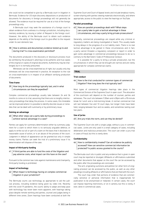she could not be compelled to give by a Bermuda court in litigation in Bermuda. Evidence for US-style discovery depositions or production of documents for discovery in foreign proceedings will not generally be allowed. The evidence must be required for use at a trial of the foreign proceedings only.

A Bermuda court may seek the assistance of a foreign court to obtain evidence from a witness in a foreign jurisdiction, including documentary evidence, by issuing a Letter of Request to the foreign court. However, the ability of the Bermuda court to obtain such evidence depends on the ability of the foreign court to give effect to the request under its own domestic law.

#### 38 How is witness and documentary evidence tested up to and during trial? Is cross-examination permitted?

The documents produced in the discovery or disclosure process must be certified by the producer's attorneys to be authentic and true copies of the original or copies of original documents. Authenticity may be challenged, but it is normally presumed.

Witnesses can be cross-examined as of right, but usually only key witnesses will be cross-examined in practice. An exception to the rule on cross-examination is in respect of an affidavit verifying production of documents.

#### **Time frame**

#### 39 How long do the proceedings typically last, and in what circumstances can they be expedited?

Complex commercial proceedings usually take between 24 and 36 months to come on to trial, assuming that there are no lengthy interlocutory proceedings that delay the process. In some cases, this timetable can be improved where it is possible to identify discrete issues or remedies that can be dealt with summarily or by preliminary issue.

#### **Gaining an advantage**

#### 40 What other steps can a party take during proceedings to achieve tactical advantage in a case?

Parties can apply for summary determination either by summary judgment for a claim to which there is no seriously arguable defence, or apply to strike out all or part of a claim on the basis that it discloses no reasonable cause of action, or is an abuse of the process of the court. Judgment in default of appearance can be granted but only in simple money claims. Parties can seek the trial of a preliminary issue if its determination will dispose of the case.

#### **Impact of third-party funding**

 $41$  | If third parties are able to fund the costs of the litigation and pay adverse costs, what impact can this have on the case?

Pursuant to the common law rules against maintenance and champerty, third-party funding is prohibited.

#### **Impact of technology**

#### 42 What impact is technology having on complex commercial litigation in your jurisdiction?

The Bermuda courts use technology as appropriate to aid the judicial process, including evidence being given by video link. Recently with the covid-19 pandemic, the courts' ability to adapt and keep pace with technology has never been more apparent, with hearings taking place despite remote working and parties, counsel and judges being in different time zones. Zoom hearings have been conducted at both the

Supreme Court and Court of Appeal levels and include breakout rooms, screen-sharing with parties viewing materials electronically, and where appropriate, access to the public to view the hearings on YouTube.

#### **Parallel proceedings**

43 | How are parallel proceedings dealt with? What steps can a party take to gain a tactical advantage in these circumstances, and may a party bring private prosecutions?

Generally, commercial proceedings are stayed while any criminal or regulatory matters are being investigated or heard. This usually leads to long delays in the progress of a civil liability claim. There is no real tactical advantage to be gained in these circumstances and in fact, a party cannot threaten a regulatory complaint or report in order to gain some advantage in commercial proceedings because to do so is contrary to the Barristers' Code of Professional Conduct.

It is possible for a party to bring a private prosecution, but the circumstances in which they can be brought are narrow and are rarely appropriate for complex commercial claims.

#### **TRIAL**

#### **Trial conduct**

#### 44 How is the trial conducted for common types of commercial litigation? How long does the trial typically last?

Most types of commercial litigation hearings take place in the Commercial Division of the Supreme Court in open court. The allocation of the courtroom will depend on the number of counsel, parties and witnesses. The court sits between 9.30am and 4.30pm with a 90-minute break for lunch and a mid-morning break. A normal commercial trial will last between five and 10 court days, but longer trials have been held, ranging between four and six weeks, and sometimes lasting over two years.

#### **Use of juries**

#### $45$  | Are jury trials the norm, and can they be denied?

The Supreme Court sits with a single judge, without a jury in commercial cases. Juries are only used in a small category of cases, including defamation and malicious prosecution. The court can order a jury trial in cases of fraud, but this is rarely done.

#### **Confidentiality**

#### $46$  How is confidentiality treated? Can all evidence be publicly accessed? How can sensitive commercial information be protected? Is public access granted to the courts?

The Bermuda court sits in public and any evidence that is given in open court may be reported or divulged. Affidavits or affirmations submitted and other documents that appear on the court file can be accessed by the public after the proceedings are concluded.

The writ, originating summons and petition (or other form of originating process) can be accessed by the public, as well as any other pleadings including affidavits or affirmations that are filed with the court.

The court may order that portions of evidence that are commercially sensitive or personal information that is inappropriate for publication to be anonymised or redacted. In certain cases, the court can impose reporting restrictions, or sit in camera, but this is rarely, if ever, done in commercial cases.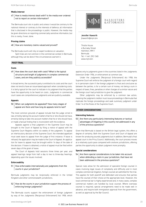#### **Media interest**

47 | How is media interest dealt with? Is the media ever ordered not to report on certain information?

The Bermuda court sits in public and unless it would be contrary to the national interest or contrary to the interests of defence, all information that is disclosed in the proceedings is public. However, the media may be given directions on reporting commercially sensitive information, but this is rarely, if ever, done.

#### **Proving claims**

#### 48 | How are monetary claims valued and proved?

The Bermuda courts will rely on expert evidence on valuation.

Split trials are not common in the commercial context in Bermuda, although they can be done if the circumstances warrant it.

#### **POST-TRIAL**

#### **Costs**

 $49$  How does the court deal with costs? What is the typical structure and length of judgments in complex commercial cases, and are they publicly accessible?

In broad terms, the successful party is entitled to its costs and the court does not tend to have an issue-based approach when considering costs. It is fairly typical for the court to indicate in its judgment that the parties have the opportunity to be heard on costs. Judgments in commercial court cases are comprehensive judgments and are publicly available.

#### **Appeals**

50 When can judgments be appealed? How many stages of appeal are there and how long do appeals tend to last?

The most common grounds of appeal include that the judge: erred in law, erred by taking into account matters that he or she should not have, erred by failing to take into account matters that he or she should have, or made a factual finding that is inconsistent with the evidence.

Appeals against a final judgment in the Supreme Court may be brought to the Court of Appeal by filing a notice of appeal with the Supreme Court Registry within six weeks of the judgment. To appeal an interlocutory decision of the Supreme Court, the intended appellant must seek leave to appeal from the judge of first instance. If leave is refused, the application may be made to the Court of Appeal. An application for leave to appeal must be brought within 14 days of the date of the decision. If leave is obtained, a notice of appeal must be filed within seven days of the grant of leave.

The Court of Appeals hold sessions three times per year, and appeal hearings range from half a day to two to three-day hearings, depending upon the issues involved.

#### **Enforceability**

#### $51$  How enforceable internationally are judgments from the courts in your jurisdiction?

Bermuda judgments may be reciprocally enforced in the United Kingdom and other commonwealth jurisdictions.

#### 52 How do the courts in your jurisdiction support the process of enforcing foreign judgments?

The Bermuda courts support the enforcement of foreign judgment by way of the Judgments (Reciprocal Enforcement) Act 1958, which



**BARRISTERS & ATTORNEYS** 

Jennifer Haworth jhaworth@mjm.bm

Thistle House 4 Burnaby Street Hamilton, HM11 Bermuda Tel: +1 441 292 1345 www.mjm.bm

applies only to judgments given in the countries listed in the Judgments Extension Order 1956, or enforcement at common law.

Under the Judgments (Reciprocal Enforcement) Act 1958, the Supreme Court will enforce the judgment of a foreign court with regard to in personam claim if: the foreign judgment is final and conclusive as between the parties, is for a certain sum of money, not being a sum in respect of taxes, fines, penalties or other charges of a similar nature and the foreign court had jurisdiction to give the judgment.

Other judgments may be enforced by a common law action, meaning the judgment creditor must issue proceedings in Bermuda that replicate the foreign proceedings and seek summary judgment under Order 14 of the Rules of the Supreme Court.

#### **OTHER CONSIDERATIONS**

#### **Interesting features**

 $53$   $\vert$  Are there any particularly interesting features or tactical advantages of litigating in this country not addressed in any of the previous questions?

Given that Bermuda is based on the British legal system, this offers a degree of certainty. Both the Supreme Court and Court of Appeal are known for producing sounds judgments but in addition, Bermuda's final appeal court is the Privy Council. Additionally, the court process moves at a relatively quick pace compared with onshore jurisdictions, offering parties the opportunity to obtain judgment more promptly.

#### **Special considerations**

54 Are there special considerations to be taken into account when defending a claim in your jurisdiction, that have not been addressed in the previous questions?

Special rules allow for the admission of specialist foreign counsel in cases involving legal issues of complexity and difficulty and in most complex commercial litigation, foreign counsel are admitted for the trial. This applies for both plaintiff and defendant and ensures that parties have the counsel of their choice at the appropriate level. However, the local commercial bar is highly experienced and, in many cases, complex commercial matters are handled by local counsel. Where overseas counsel is required, special arrangements need to be made well in advance, and require both immigration approval from the government, as well as approval by the Bar Council.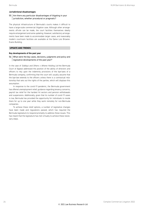#### **Jurisdictional disadvantages**

#### 55 Are there any particular disadvantages of litigating in your jurisdiction, whether procedural or pragmatic?

The physical infrastructure of Bermuda's courts makes it difficult to have a large-scale commercial litigation case. Although other arrangements off-site can be made, the court facilities themselves ideally require enlargement and some updating. However, satisfactory arrangements have been made to accommodate larger cases, and reasonably modern courtroom facilities are available at the Dame Lois Browne-Evans Building.

#### **UPDATE AND TRENDS**

#### **Key developments of the past year**

56 What were the key cases, decisions, judgments and policy and legislative developments of the past year?

In the case of *Siddiqui and Others v Athene Holding Ltd* the Bermuda Court of Appeal addressed the position of the ability of directors and officers to rely upon the indemnity provisions of the bye-laws of a Bermuda company, confirming that the court will usually assume that the bye-law extends to the officers unless there is a contractual relationship that sets out the rights of the parties, which will displace this assumption.

In response to the covid-19 pandemic, the Bermuda government has offered unemployment relief, guidance regarding tenancy concerns, payroll tax relief for the hardest hit sectors and pension withdrawals and suspensions. Additionally, given that its number of covid-19 cases is low, Bermuda has provided the opportunity for individuals to reside there for up to one year while they work remotely for non-Bermuda companies.

To achieve these relief options, a number of legislative changes have been made and regulations passed, which has required the Bermuda legislature to respond promptly to address these issues. This has meant that the legislature has met virtually to achieve these necessary steps.